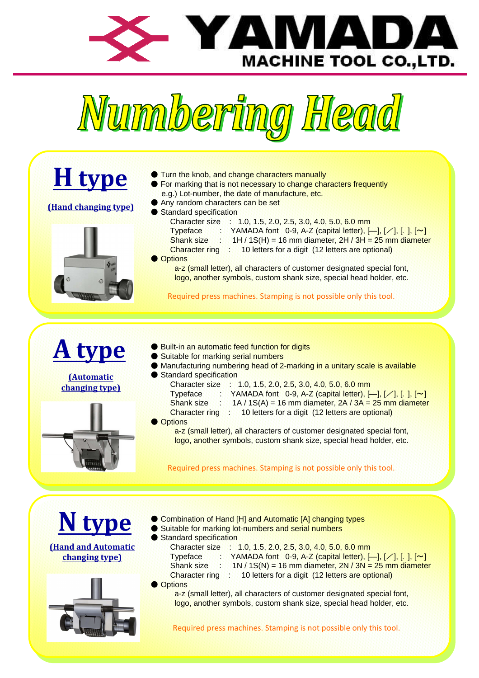



| <b>H</b> type<br><b>(Hand changing type)</b>         | Turn the knob, and change characters manually<br>• For marking that is not necessary to change characters frequently<br>e.g.) Lot-number, the date of manufacture, etc.<br>● Any random characters can be set<br>Standard specification<br>Character size : 1.0, 1.5, 2.0, 2.5, 3.0, 4.0, 5.0, 6.0 mm<br>Typeface<br>YAMADA font 0-9, A-Z (capital letter), $[-], [-], [-], [\sim], [\sim]$<br><b>Shank size</b><br>$1H / 1S(H) = 16$ mm diameter, $2H / 3H = 25$ mm diameter<br>Character ring : 10 letters for a digit (12 letters are optional)<br><b>Options</b><br>a-z (small letter), all characters of customer designated special font,<br>logo, another symbols, custom shank size, special head holder, etc.<br>Required press machines. Stamping is not possible only this tool. |
|------------------------------------------------------|---------------------------------------------------------------------------------------------------------------------------------------------------------------------------------------------------------------------------------------------------------------------------------------------------------------------------------------------------------------------------------------------------------------------------------------------------------------------------------------------------------------------------------------------------------------------------------------------------------------------------------------------------------------------------------------------------------------------------------------------------------------------------------------------|
| <b>A type</b><br><b>(Automatic</b><br>changing type) | <b>Built-in an automatic feed function for digits</b><br>Suitable for marking serial numbers<br>Manufacturing numbering head of 2-marking in a unitary scale is available<br>Standard specification<br>Character size : 1.0, 1.5, 2.0, 2.5, 3.0, 4.0, 5.0, 6.0 mm<br>Typeface : YAMADA font 0-9, A-Z (capital letter), $[-], [}/], [., ], [~]$<br>Shank size :<br>$1A / 1S(A) = 16$ mm diameter, $2A / 3A = 25$ mm diameter<br>Character ring : 10 letters for a digit (12 letters are optional)<br><b>Options</b><br>a-z (small letter), all characters of customer designated special font,<br>logo, another symbols, custom shank size, special head holder, etc.<br>Required press machines. Stamping is not possible only this tool.                                                   |
| <b>(Hand and Automatic</b><br>changing type)         | Combination of Hand [H] and Automatic [A] changing types<br>Suitable for marking lot-numbers and serial numbers<br>Standard specification<br>Character size : 1.0, 1.5, 2.0, 2.5, 3.0, 4.0, 5.0, 6.0 mm<br>YAMADA font 0-9, A-Z (capital letter), $[-1, 1/1, 1, 1, 1/2]$<br>Typeface<br>$1N / 1S(N) = 16$ mm diameter, $2N / 3N = 25$ mm diameter<br>Shank size<br>10 letters for a digit (12 letters are optional)<br><b>Character ring</b><br>8<br><b>Options</b><br>a-z (small letter), all characters of customer designated special font,<br>logo, another symbols, custom shank size, special head holder, etc.<br>Required press machines. Stamping is not possible only this tool.                                                                                                  |
|                                                      |                                                                                                                                                                                                                                                                                                                                                                                                                                                                                                                                                                                                                                                                                                                                                                                             |